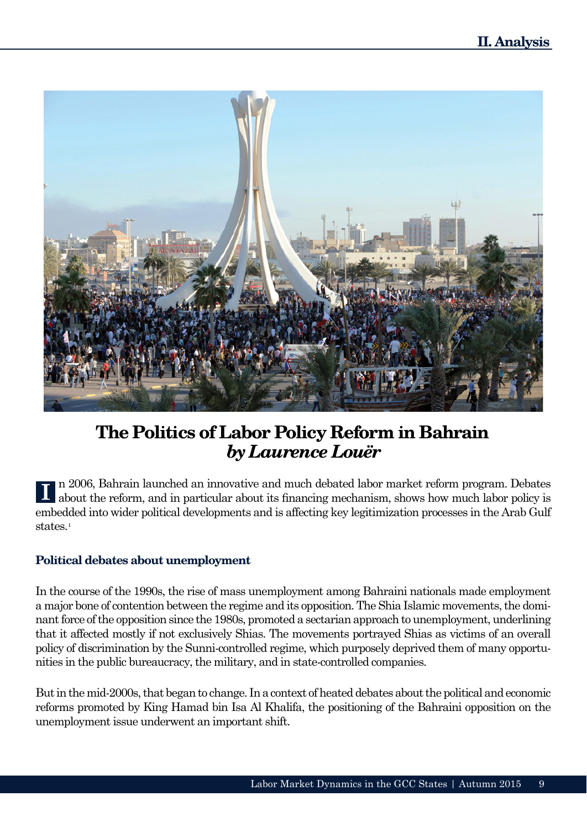

## **The Politics of Labor Policy Reform in Bahrain** *by Laurence Louër*

n 2006, Bahrain launched an innovative and much debated labor market reform program. Debates about the reform, and in particular about its financing mechanism, shows how much labor policy is embedded into wider political developments and is affecting key legitimization processes in the Arab Gulf states.<sup>1</sup>

## **Political debates about unemployment**

In the course of the 1990s, the rise of mass unemployment among Bahraini nationals made employment a major bone of contention between the regime and its opposition. The Shia Islamic movements, the dominant force of the opposition since the 1980s, promoted a sectarian approach to unemployment, underlining that it affected mostly if not exclusively Shias. The movements portrayed Shias as victims of an overall policy of discrimination by the Sunni-controlled regime, which purposely deprived them of many opportunities in the public bureaucracy, the military, and in state-controlled companies.

But in the mid-2000s, that began to change. In a context of heated debates about the political and economic reforms promoted by King Hamad bin Isa Al Khalifa, the positioning of the Bahraini opposition on the unemployment issue underwent an important shift.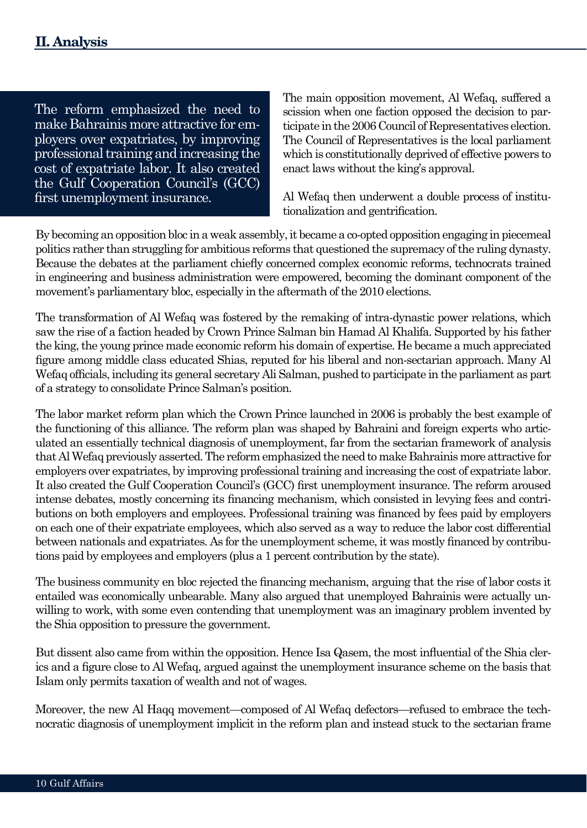The reform emphasized the need to make Bahrainis more attractive for employers over expatriates, by improving professional training and increasing the cost of expatriate labor. It also created the Gulf Cooperation Council's (GCC) first unemployment insurance.

The main opposition movement, Al Wefaq, suffered a scission when one faction opposed the decision to participate in the 2006 Council of Representatives election. The Council of Representatives is the local parliament which is constitutionally deprived of effective powers to enact laws without the king's approval.

Al Wefaq then underwent a double process of institutionalization and gentrification.

By becoming an opposition bloc in a weak assembly, it became a co-opted opposition engaging in piecemeal politics rather than struggling for ambitious reforms that questioned the supremacy of the ruling dynasty. Because the debates at the parliament chiefly concerned complex economic reforms, technocrats trained in engineering and business administration were empowered, becoming the dominant component of the movement's parliamentary bloc, especially in the aftermath of the 2010 elections.

The transformation of Al Wefaq was fostered by the remaking of intra-dynastic power relations, which saw the rise of a faction headed by Crown Prince Salman bin Hamad Al Khalifa. Supported by his father the king, the young prince made economic reform his domain of expertise. He became a much appreciated figure among middle class educated Shias, reputed for his liberal and non-sectarian approach. Many Al Wefaq officials, including its general secretary Ali Salman, pushed to participate in the parliament as part of a strategy to consolidate Prince Salman's position.

The labor market reform plan which the Crown Prince launched in 2006 is probably the best example of the functioning of this alliance. The reform plan was shaped by Bahraini and foreign experts who articulated an essentially technical diagnosis of unemployment, far from the sectarian framework of analysis that Al Wefaq previously asserted. The reform emphasized the need to make Bahrainis more attractive for employers over expatriates, by improving professional training and increasing the cost of expatriate labor. It also created the Gulf Cooperation Council's (GCC) first unemployment insurance. The reform aroused intense debates, mostly concerning its financing mechanism, which consisted in levying fees and contributions on both employers and employees. Professional training was financed by fees paid by employers on each one of their expatriate employees, which also served as a way to reduce the labor cost differential between nationals and expatriates. As for the unemployment scheme, it was mostly financed by contributions paid by employees and employers (plus a 1 percent contribution by the state).

The business community en bloc rejected the financing mechanism, arguing that the rise of labor costs it entailed was economically unbearable. Many also argued that unemployed Bahrainis were actually unwilling to work, with some even contending that unemployment was an imaginary problem invented by the Shia opposition to pressure the government.

But dissent also came from within the opposition. Hence Isa Qasem, the most influential of the Shia clerics and a figure close to Al Wefaq, argued against the unemployment insurance scheme on the basis that Islam only permits taxation of wealth and not of wages.

Moreover, the new Al Haqq movement—composed of Al Wefaq defectors—refused to embrace the technocratic diagnosis of unemployment implicit in the reform plan and instead stuck to the sectarian frame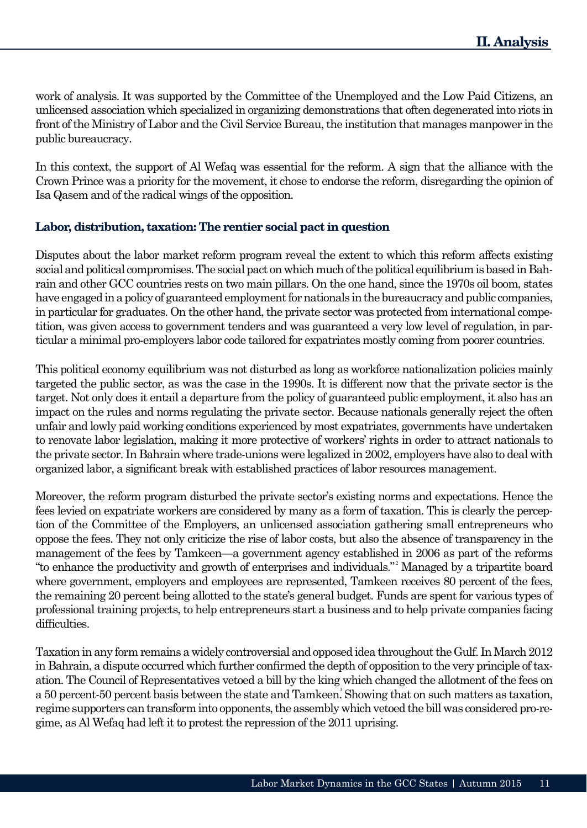work of analysis. It was supported by the Committee of the Unemployed and the Low Paid Citizens, an unlicensed association which specialized in organizing demonstrations that often degenerated into riots in front of the Ministry of Labor and the Civil Service Bureau, the institution that manages manpower in the public bureaucracy.

In this context, the support of Al Wefaq was essential for the reform. A sign that the alliance with the Crown Prince was a priority for the movement, it chose to endorse the reform, disregarding the opinion of Isa Qasem and of the radical wings of the opposition.

## **Labor, distribution, taxation: The rentier social pact in question**

Disputes about the labor market reform program reveal the extent to which this reform affects existing social and political compromises. The social pact on which much of the political equilibrium is based in Bahrain and other GCC countries rests on two main pillars. On the one hand, since the 1970s oil boom, states have engaged in a policy of guaranteed employment for nationals in the bureaucracy and public companies, in particular for graduates. On the other hand, the private sector was protected from international competition, was given access to government tenders and was guaranteed a very low level of regulation, in particular a minimal pro-employers labor code tailored for expatriates mostly coming from poorer countries.

This political economy equilibrium was not disturbed as long as workforce nationalization policies mainly targeted the public sector, as was the case in the 1990s. It is different now that the private sector is the target. Not only does it entail a departure from the policy of guaranteed public employment, it also has an impact on the rules and norms regulating the private sector. Because nationals generally reject the often unfair and lowly paid working conditions experienced by most expatriates, governments have undertaken to renovate labor legislation, making it more protective of workers' rights in order to attract nationals to the private sector. In Bahrain where trade-unions were legalized in 2002, employers have also to deal with organized labor, a significant break with established practices of labor resources management.

Moreover, the reform program disturbed the private sector's existing norms and expectations. Hence the fees levied on expatriate workers are considered by many as a form of taxation. This is clearly the perception of the Committee of the Employers, an unlicensed association gathering small entrepreneurs who oppose the fees. They not only criticize the rise of labor costs, but also the absence of transparency in the management of the fees by Tamkeen—a government agency established in 2006 as part of the reforms "to enhance the productivity and growth of enterprises and individuals." Managed by a tripartite board 2 where government, employers and employees are represented, Tamkeen receives 80 percent of the fees, the remaining 20 percent being allotted to the state's general budget. Funds are spent for various types of professional training projects, to help entrepreneurs start a business and to help private companies facing difficulties.

Taxation in any form remains a widely controversial and opposed idea throughout the Gulf. In March 2012 in Bahrain, a dispute occurred which further confirmed the depth of opposition to the very principle of taxation. The Council of Representatives vetoed a bill by the king which changed the allotment of the fees on a 50 percent-50 percent basis between the state and Tamkeen. Showing that on such matters as taxation, regime supporters can transform into opponents, the assembly which vetoed the bill was considered pro-regime, as Al Wefaq had left it to protest the repression of the 2011 uprising.